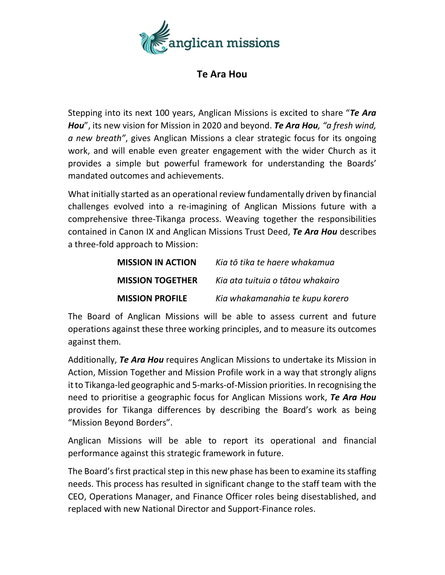

## Te Ara Hou

Stepping into its next 100 years, Anglican Missions is excited to share "Te Ara Hou", its new vision for Mission in 2020 and beyond. Te Ara Hou, "a fresh wind, a new breath", gives Anglican Missions a clear strategic focus for its ongoing work, and will enable even greater engagement with the wider Church as it provides a simple but powerful framework for understanding the Boards' mandated outcomes and achievements.

What initially started as an operational review fundamentally driven by financial challenges evolved into a re-imagining of Anglican Missions future with a comprehensive three-Tikanga process. Weaving together the responsibilities contained in Canon IX and Anglican Missions Trust Deed, Te Ara Hou describes a three-fold approach to Mission:

| <b>MISSION IN ACTION</b> | Kia tō tika te haere whakamua    |
|--------------------------|----------------------------------|
| <b>MISSION TOGETHER</b>  | Kia ata tuituia o tātou whakairo |
| <b>MISSION PROFILE</b>   | Kia whakamanahia te kupu korero  |

The Board of Anglican Missions will be able to assess current and future operations against these three working principles, and to measure its outcomes against them.

Additionally, Te Ara Hou requires Anglican Missions to undertake its Mission in Action, Mission Together and Mission Profile work in a way that strongly aligns it to Tikanga-led geographic and 5-marks-of-Mission priorities. In recognising the need to prioritise a geographic focus for Anglican Missions work, Te Ara Hou provides for Tikanga differences by describing the Board's work as being "Mission Beyond Borders".

Anglican Missions will be able to report its operational and financial performance against this strategic framework in future.

The Board's first practical step in this new phase has been to examine its staffing needs. This process has resulted in significant change to the staff team with the CEO, Operations Manager, and Finance Officer roles being disestablished, and replaced with new National Director and Support-Finance roles.